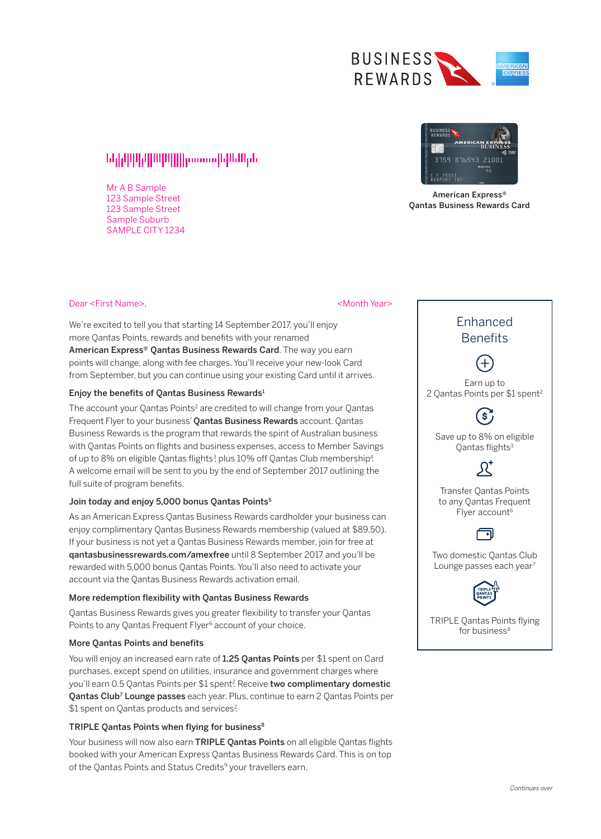

# 

Mr A B Sample 123 Sample Street 123 Sample Street Sample Suburb SAMPLE CITY 1234



American Express® Qantas Business Rewards Card

## Dear <First Name>,

### <Month Year>

We're excited to tell you that starting 14 September 2017, you'll enjoy more Qantas Points, rewards and benefits with your renamed American Express® Qantas Business Rewards Card. The way you earn points will change, along with fee charges. You'll receive your new-look Card from September, but you can continue using your existing Card until it arrives.

## Enjoy the benefits of Qantas Business Rewards1

The account your Qantas Points<sup>2</sup> are credited to will change from your Oantas Frequent Flyer to your business' Qantas Business Rewards account. Qantas Business Rewards is the program that rewards the spirit of Australian business with Qantas Points on flights and business expenses, access to Member Savings of up to 8% on eligible Qantas flights<sup>3</sup>, plus 10% off Qantas Club membership<sup>4</sup>. A welcome email will be sent to you by the end of September 2017 outlining the full suite of program benefits.

# Join today and enjoy 5,000 bonus Qantas Points<sup>5</sup>

As an American Express Qantas Business Rewards cardholder your business can enjoy complimentary Qantas Business Rewards membership (valued at \$89.50). If your business is not yet a Qantas Business Rewards member, join for free at qantasbusinessrewards.com/amexfree until 8 September 2017 and you'll be rewarded with 5,000 bonus Qantas Points. You'll also need to activate your account via the Qantas Business Rewards activation email.

# More redemption flexibility with Qantas Business Rewards

Qantas Business Rewards gives you greater flexibility to transfer your Qantas Points to any Qantas Frequent Flyer<sup>6</sup> account of your choice.

## More Qantas Points and benefits

You will enjoy an increased earn rate of 1.25 Qantas Points per \$1 spent on Card purchases, except spend on utilities, insurance and government charges where you'll earn 0.5 Qantas Points per \$1 spent? Receive **two complimentary domestic Qantas Club<sup>7</sup> Lounge passes** each year. Plus, continue to earn 2 Qantas Points per \$1 spent on Qantas products and services?

# TRIPLE Qantas Points when flying for business<sup>8</sup>

Your business will now also earn TRIPLE Qantas Points on all eligible Qantas flights booked with your American Express Qantas Business Rewards Card. This is on top of the Qantas Points and Status Credits<sup>9</sup> your travellers earn.